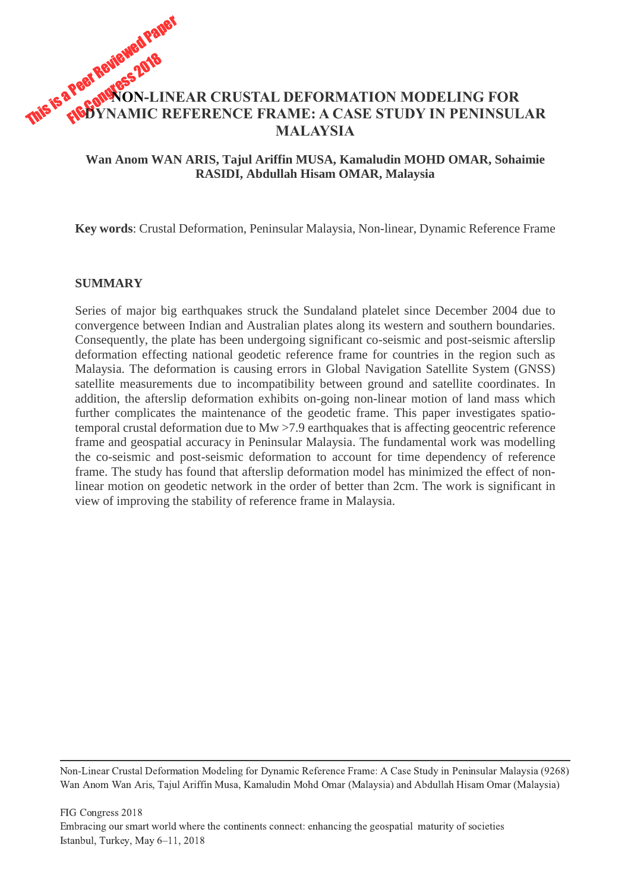# This is a Peer Reviewed Paper **NON-LINEAR CRUSTAL DEFORMATION MODELING FOR DYNAMIC REFERENCE FRAME: A CASE STUDY IN PENINSULAR MALAYSIA**

## **Wan Anom WAN ARIS, Tajul Ariffin MUSA, Kamaludin MOHD OMAR, Sohaimie RASIDI, Abdullah Hisam OMAR, Malaysia**

**Key words**: Crustal Deformation, Peninsular Malaysia, Non-linear, Dynamic Reference Frame

#### **SUMMARY**

Series of major big earthquakes struck the Sundaland platelet since December 2004 due to convergence between Indian and Australian plates along its western and southern boundaries. Consequently, the plate has been undergoing significant co-seismic and post-seismic afterslip deformation effecting national geodetic reference frame for countries in the region such as Malaysia. The deformation is causing errors in Global Navigation Satellite System (GNSS) satellite measurements due to incompatibility between ground and satellite coordinates. In addition, the afterslip deformation exhibits on-going non-linear motion of land mass which further complicates the maintenance of the geodetic frame. This paper investigates spatiotemporal crustal deformation due to Mw >7.9 earthquakes that is affecting geocentric reference frame and geospatial accuracy in Peninsular Malaysia. The fundamental work was modelling the co-seismic and post-seismic deformation to account for time dependency of reference frame. The study has found that afterslip deformation model has minimized the effect of nonlinear motion on geodetic network in the order of better than 2cm. The work is significant in view of improving the stability of reference frame in Malaysia.

Non-Linear Crustal Deformation Modeling for Dynamic Reference Frame: A Case Study in Peninsular Malaysia (9268) Wan Anom Wan Aris, Tajul Ariffin Musa, Kamaludin Mohd Omar (Malaysia) and Abdullah Hisam Omar (Malaysia)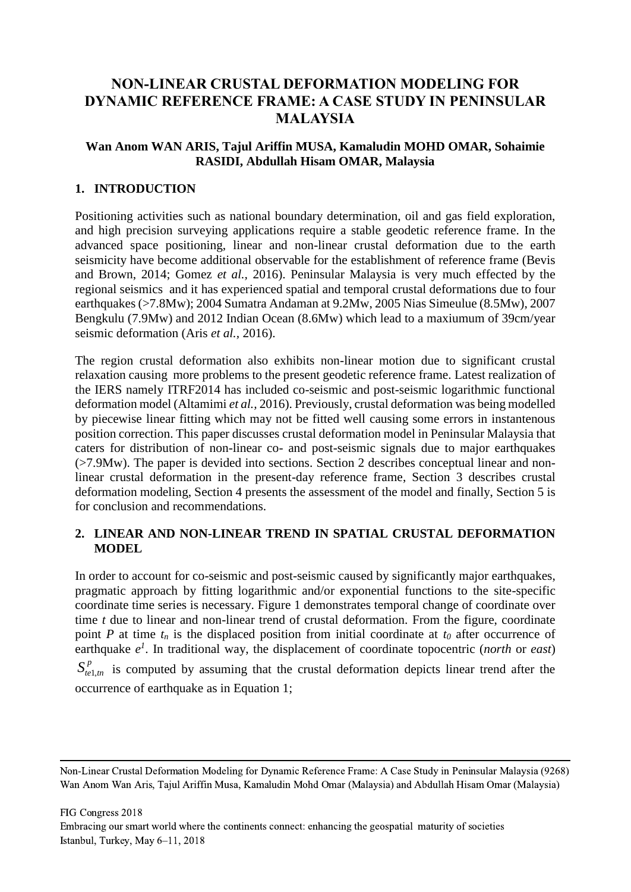## **NON-LINEAR CRUSTAL DEFORMATION MODELING FOR DYNAMIC REFERENCE FRAME: A CASE STUDY IN PENINSULAR MALAYSIA**

## **Wan Anom WAN ARIS, Tajul Ariffin MUSA, Kamaludin MOHD OMAR, Sohaimie RASIDI, Abdullah Hisam OMAR, Malaysia**

## **1. INTRODUCTION**

Positioning activities such as national boundary determination, oil and gas field exploration, and high precision surveying applications require a stable geodetic reference frame. In the advanced space positioning, linear and non-linear crustal deformation due to the earth seismicity have become additional observable for the establishment of reference frame (Bevis and Brown, 2014; Gomez *et al.,* 2016). Peninsular Malaysia is very much effected by the regional seismics and it has experienced spatial and temporal crustal deformations due to four earthquakes (>7.8Mw); 2004 Sumatra Andaman at 9.2Mw, 2005 Nias Simeulue (8.5Mw), 2007 Bengkulu (7.9Mw) and 2012 Indian Ocean (8.6Mw) which lead to a maxiumum of 39cm/year seismic deformation (Aris *et al.,* 2016).

The region crustal deformation also exhibits non-linear motion due to significant crustal relaxation causing more problems to the present geodetic reference frame. Latest realization of the IERS namely ITRF2014 has included co-seismic and post-seismic logarithmic functional deformation model (Altamimi *et al.,* 2016). Previously, crustal deformation was being modelled by piecewise linear fitting which may not be fitted well causing some errors in instantenous position correction. This paper discusses crustal deformation model in Peninsular Malaysia that caters for distribution of non-linear co- and post-seismic signals due to major earthquakes (>7.9Mw). The paper is devided into sections. Section 2 describes conceptual linear and nonlinear crustal deformation in the present-day reference frame, Section 3 describes crustal deformation modeling, Section 4 presents the assessment of the model and finally, Section 5 is for conclusion and recommendations.

## **2. LINEAR AND NON-LINEAR TREND IN SPATIAL CRUSTAL DEFORMATION MODEL**

In order to account for co-seismic and post-seismic caused by significantly major earthquakes, pragmatic approach by fitting logarithmic and/or exponential functions to the site-specific coordinate time series is necessary. Figure 1 demonstrates temporal change of coordinate over time *t* due to linear and non-linear trend of crustal deformation. From the figure, coordinate point *P* at time  $t_n$  is the displaced position from initial coordinate at  $t_0$  after occurrence of earthquake  $e^{\lambda}$ . In traditional way, the displacement of coordinate topocentric (*north* or *east*)

 $S_{t_{el,m}}^p$  is computed by assuming that the crustal deformation depicts linear trend after the occurrence of earthquake as in Equation 1;

FIG Congress 2018

Non-Linear Crustal Deformation Modeling for Dynamic Reference Frame: A Case Study in Peninsular Malaysia (9268) Wan Anom Wan Aris, Tajul Ariffin Musa, Kamaludin Mohd Omar (Malaysia) and Abdullah Hisam Omar (Malaysia)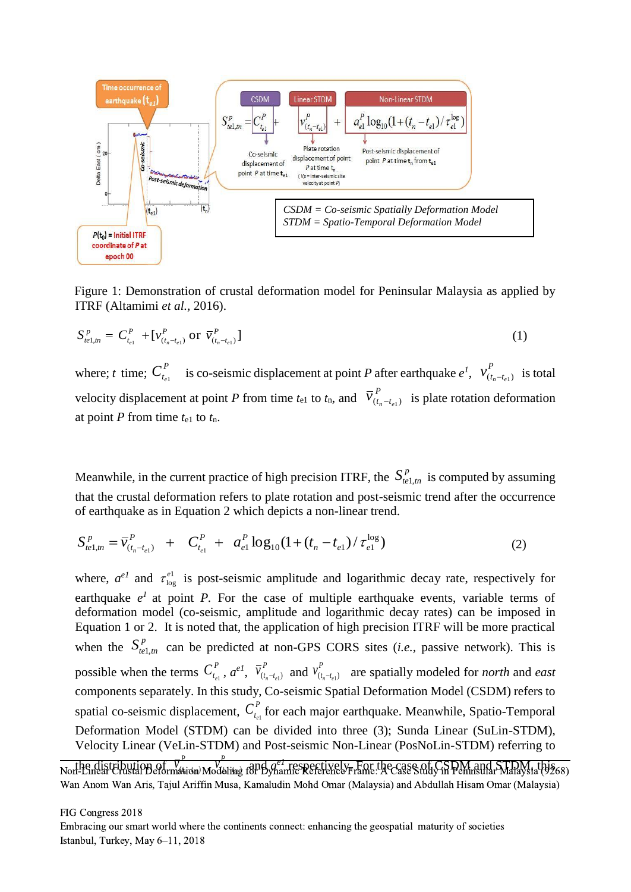

Figure 1: Demonstration of crustal deformation model for Peninsular Malaysia as applied by ITRF (Altamimi *et al.,* 2016).

$$
S_{te1,m}^p = C_{t_{e1}}^P + [v_{(t_n - t_{e1})}^P \text{ or } \overline{v}_{(t_n - t_{e1})}^P]
$$
 (1)

where;  $t$  time;  $C_{t_{e1}}^T$ *P*  $C_{t_{e1}}^P$  is co-seismic displacement at point *P* after earthquake  $e^I$ ,  $v_{(t_n-t_{e1})}^P$ *P*  $v_{(t_n-t_{e1})}^P$  is total velocity displacement at point *P* from time  $t_{e1}$  to  $t_n$ , and  $V'_{(t_n-t_{e1})}$ *P*  $\overline{v}_{(t_n-t_{e1})}^P$  is plate rotation deformation at point *P* from time *t*e1 to *t*n.

Meanwhile, in the current practice of high precision ITRF, the  $S_{t}^p$  is computed by assuming that the crustal deformation refers to plate rotation and post-seismic trend after the occurrence of earthquake as in Equation 2 which depicts a non-linear trend.

$$
S_{t\ell 1,m}^p = \overline{v}_{(t_n - t_{\ell 1})}^p + C_{t_{\ell 1}}^p + a_{\ell 1}^p \log_{10}(1 + (t_n - t_{\ell 1}) / \tau_{\ell 1}^{\log})
$$
(2)

where,  $a^{el}$  and  $\tau_{\text{los}}^{el}$ log  $\tau_{\text{loc}}^{\text{el}}$  is post-seismic amplitude and logarithmic decay rate, respectively for earthquake  $e^{\lambda}$  at point *P*. For the case of multiple earthquake events, variable terms of deformation model (co-seismic, amplitude and logarithmic decay rates) can be imposed in Equation 1 or 2. It is noted that, the application of high precision ITRF will be more practical when the  $S_{te1,m}^p$  can be predicted at non-GPS CORS sites (*i.e.*, passive network). This is possible when the terms  $C_t^P$  $C_{t_{e1}}^P$ ,  $a^{eI}$ ,  $\bar{v}_{(t_n-t_{e1})}^P$  $\overline{v}^P_{(t_n - t_{e1})}$  and  $v^P_{(t_n - t_{e1})}$  $v_{(t_n-t_{e1})}^r$  are spatially modeled for *north* and *east* components separately. In this study, Co-seismic Spatial Deformation Model (CSDM) refers to spatial co-seismic displacement,  $C_t^P$  $C_{t_{el}}^P$  for each major earthquake. Meanwhile, Spatio-Temporal Deformation Model (STDM) can be divided into three (3); Sunda Linear (SuLin-STDM), Velocity Linear (VeLin-STDM) and Post-seismic Non-Linear (PosNoLin-STDM) referring to

the distribution of  $\overline{V}$ <br>1-Linear Crustal Beformation  $\frac{\overline{v}^{\,p}}{\text{Matrix}(u)}$  Modelitae Nothe distribution of  $\bar{v}^p$  which is applying respectively. For the case of CSDM and STDM, this  $\kappa$ Wan Anom Wan Aris, Tajul Ariffin Musa, Kamaludin Mohd Omar (Malaysia) and Abdullah Hisam Omar (Malaysia)

FIG Congress 2018

*P*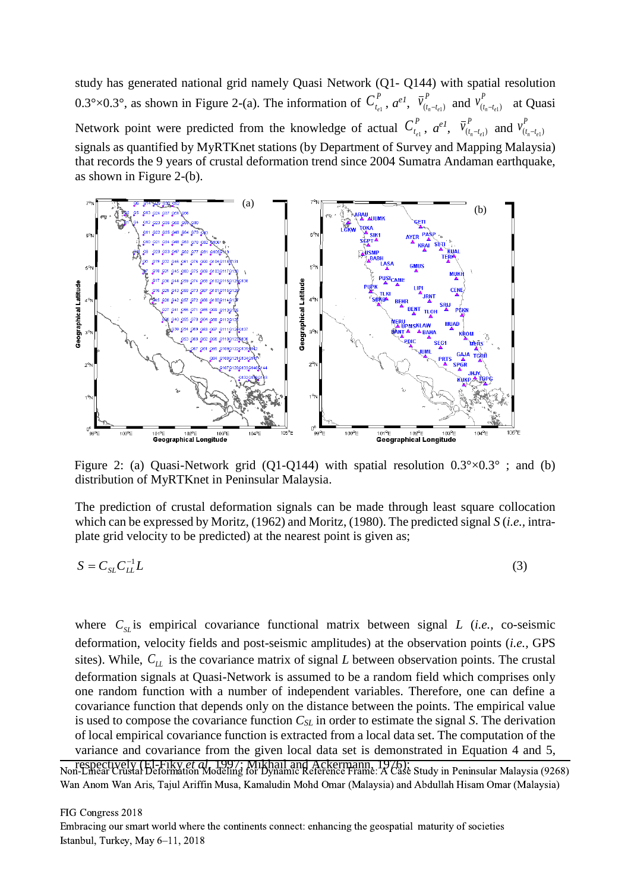study has generated national grid namely Quasi Network (Q1- Q144) with spatial resolution 0.3°×0.3°, as shown in Figure 2-(a). The information of  $C_t^P$  $C_{t_{e1}}^P$ ,  $a^{eI}$ ,  $\bar{v}_{(t_n-t_{e1})}^P$  $\bar{v}^P_{(t_n-t_{e1})}$  and  $v^P_{(t_n-t_{e1})}$  $v_{(t_n-t_{e1})}^r$  at Quasi Network point were predicted from the knowledge of actual  $C_t^P$  $C_{t_{e1}}^P$ ,  $a^{eI}$ ,  $\bar{v}_{(t_n-t_{e1})}^P$  $\overline{v}^P_{(t_n - t_{e1})}$  and  $v^P_{(t_n - t_{e1})}$  $v_{(t_n-t_e)}^{\{r\}}$ signals as quantified by MyRTKnet stations (by Department of Survey and Mapping Malaysia) that records the 9 years of crustal deformation trend since 2004 Sumatra Andaman earthquake, as shown in Figure 2-(b).



Figure 2: (a) Quasi-Network grid (Q1-Q144) with spatial resolution  $0.3^{\circ} \times 0.3^{\circ}$ ; and (b) distribution of MyRTKnet in Peninsular Malaysia.

The prediction of crustal deformation signals can be made through least square collocation which can be expressed by Moritz, (1962) and Moritz, (1980). The predicted signal *S* (*i.e.,* intraplate grid velocity to be predicted) at the nearest point is given as;

$$
S = C_{SL} C_{LL}^{-1} L \tag{3}
$$

where  $C_{SL}$  is empirical covariance functional matrix between signal *L* (*i.e.*, co-seismic deformation, velocity fields and post-seismic amplitudes) at the observation points (*i.e.,* GPS sites). While,  $C_{LL}$  is the covariance matrix of signal *L* between observation points. The crustal deformation signals at Quasi-Network is assumed to be a random field which comprises only one random function with a number of independent variables. Therefore, one can define a covariance function that depends only on the distance between the points. The empirical value is used to compose the covariance function *CSL* in order to estimate the signal *S*. The derivation of local empirical covariance function is extracted from a local data set. The computation of the variance and covariance from the given local data set is demonstrated in Equation 4 and 5,

respectively (El-Fiky *et al.* 1997; Mikhail and Ackermann, 1976); Non-Linear Crustal Deformation Modeling for Dynamic Reference Frame: A Case Study in Peninsular Malaysia (9268) Wan Anom Wan Aris, Tajul Ariffin Musa, Kamaludin Mohd Omar (Malaysia) and Abdullah Hisam Omar (Malaysia)

FIG Congress 2018

Embracing our smart world where the continents connect: enhancing the geospatial maturity of societies Istanbul, Turkey, May 6–11, 2018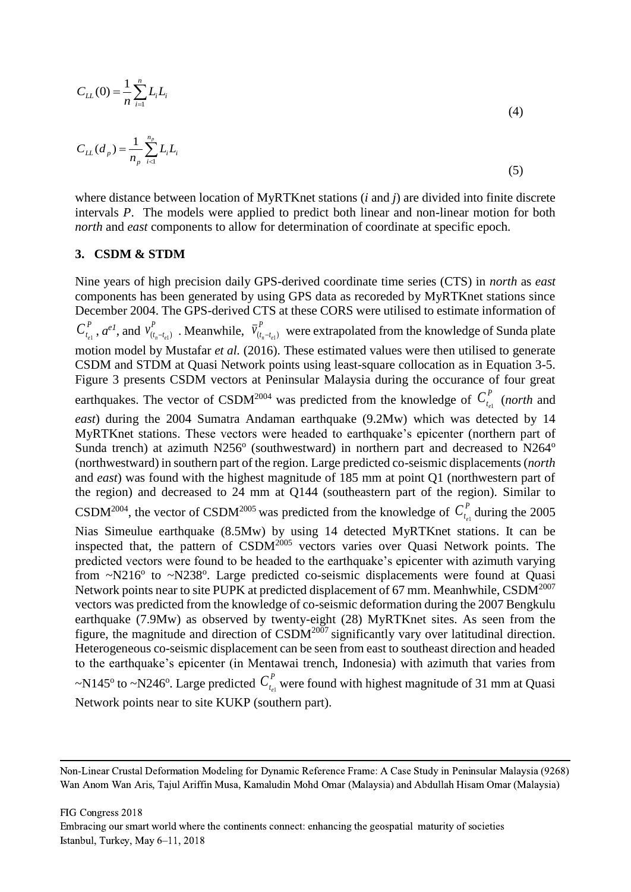$$
C_{LL}(0) = \frac{1}{n} \sum_{i=1}^{n} L_i L_i \tag{4}
$$

$$
C_{LL}(d_p) = \frac{1}{n_p} \sum_{i=1}^{n_p} L_i L_i \tag{5}
$$

where distance between location of MyRTKnet stations (*i* and *j*) are divided into finite discrete intervals *P*. The models were applied to predict both linear and non-linear motion for both *north* and *east* components to allow for determination of coordinate at specific epoch.

#### **3. CSDM & STDM**

Nine years of high precision daily GPS-derived coordinate time series (CTS) in *north* as *east* components has been generated by using GPS data as recoreded by MyRTKnet stations since December 2004. The GPS-derived CTS at these CORS were utilised to estimate information of *P*  $C_{t_{e1}}^P$ , *a*<sup>e1</sup>, and  $v_{(t_n-t_{e1})}^P$ *P*  $v_{(t_n-t_{e1})}^r$ . Meanwhile,  $\overline{v}_{(t_n-t_{e1})}^r$ *P*  $\overline{v}_{(t_n-t_{e1})}^r$  were extrapolated from the knowledge of Sunda plate motion model by Mustafar *et al.* (2016). These estimated values were then utilised to generate CSDM and STDM at Quasi Network points using least-square collocation as in Equation 3-5. Figure 3 presents CSDM vectors at Peninsular Malaysia during the occurance of four great earthquakes. The vector of CSDM<sup>2004</sup> was predicted from the knowledge of  $C_t^P$  $C_{t_{e1}}^P$  (*north* and *east*) during the 2004 Sumatra Andaman earthquake (9.2Mw) which was detected by 14 MyRTKnet stations. These vectors were headed to earthquake's epicenter (northern part of Sunda trench) at azimuth  $N256^{\circ}$  (southwestward) in northern part and decreased to  $N264^{\circ}$ (northwestward) in southern part of the region. Large predicted co-seismic displacements (*north* and *east*) was found with the highest magnitude of 185 mm at point Q1 (northwestern part of the region) and decreased to 24 mm at Q144 (southeastern part of the region). Similar to CSDM<sup>2004</sup>, the vector of CSDM<sup>2005</sup> was predicted from the knowledge of  $C_t^P$  $C_{t_{e1}}^P$  during the 2005 Nias Simeulue earthquake (8.5Mw) by using 14 detected MyRTKnet stations. It can be inspected that, the pattern of  $\text{CSDM}^{2005}$  vectors varies over Quasi Network points. The predicted vectors were found to be headed to the earthquake's epicenter with azimuth varying from  $\sim$ N216 $\textdegree$  to  $\sim$ N238 $\textdegree$ . Large predicted co-seismic displacements were found at Quasi Network points near to site PUPK at predicted displacement of 67 mm. Meanhwhile, CSDM<sup>2007</sup> vectors was predicted from the knowledge of co-seismic deformation during the 2007 Bengkulu earthquake (7.9Mw) as observed by twenty-eight (28) MyRTKnet sites. As seen from the figure, the magnitude and direction of CSDM<sup>2007</sup> significantly vary over latitudinal direction. Heterogeneous co-seismic displacement can be seen from east to southeast direction and headed to the earthquake's epicenter (in Mentawai trench, Indonesia) with azimuth that varies from ~N145<sup>o</sup> to ~N246<sup>o</sup>. Large predicted  $C_t^P$  $C_{t_{el}}^P$  were found with highest magnitude of 31 mm at Quasi Network points near to site KUKP (southern part).

FIG Congress 2018

Non-Linear Crustal Deformation Modeling for Dynamic Reference Frame: A Case Study in Peninsular Malaysia (9268) Wan Anom Wan Aris, Tajul Ariffin Musa, Kamaludin Mohd Omar (Malaysia) and Abdullah Hisam Omar (Malaysia)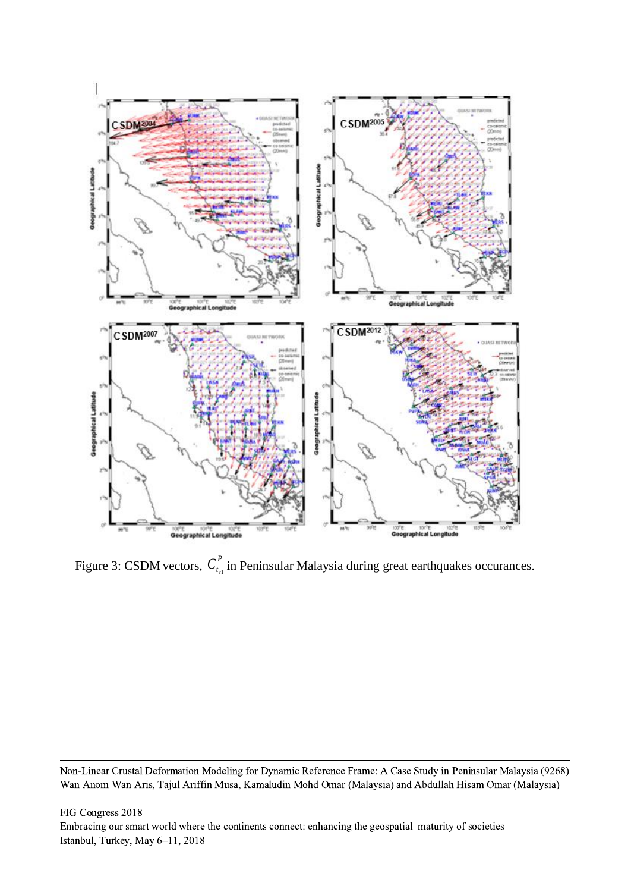

Figure 3: CSDM vectors,  $C_t^P$  $C_{t_{el}}^P$  in Peninsular Malaysia during great earthquakes occurances.

Non-Linear Crustal Deformation Modeling for Dynamic Reference Frame: A Case Study in Peninsular Malaysia (9268) Wan Anom Wan Aris, Tajul Ariffin Musa, Kamaludin Mohd Omar (Malaysia) and Abdullah Hisam Omar (Malaysia)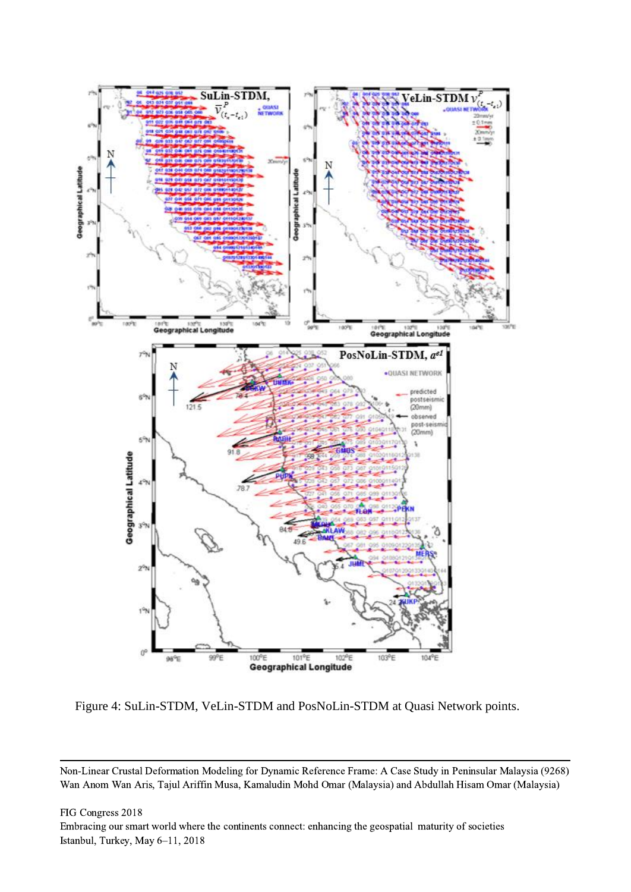

Figure 4: SuLin-STDM, VeLin-STDM and PosNoLin-STDM at Quasi Network points.

FIG Congress 2018 Embracing our smart world where the continents connect: enhancing the geospatial maturity of societies Istanbul, Turkey, May 6–11, 2018

Non-Linear Crustal Deformation Modeling for Dynamic Reference Frame: A Case Study in Peninsular Malaysia (9268) Wan Anom Wan Aris, Tajul Ariffin Musa, Kamaludin Mohd Omar (Malaysia) and Abdullah Hisam Omar (Malaysia)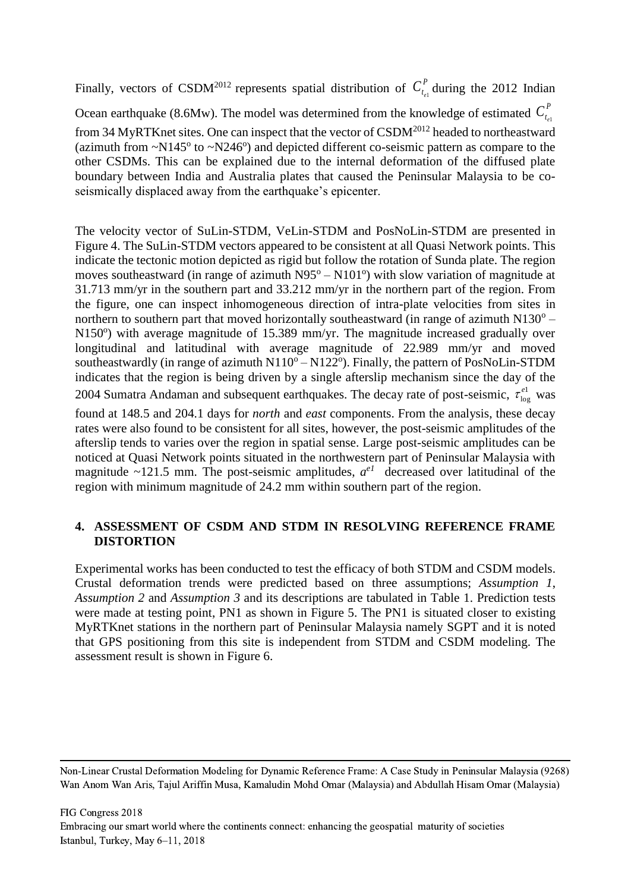Finally, vectors of CSDM<sup>2012</sup> represents spatial distribution of  $C_t^P$  $C_{t_{el}}^{\prime}$  during the 2012 Indian Ocean earthquake (8.6Mw). The model was determined from the knowledge of estimated  $C_t^P$  $C_{t_{e1}}^r$ from 34 MyRTKnet sites. One can inspect that the vector of CSDM<sup>2012</sup> headed to northeastward (azimuth from  $\sim N145^{\circ}$  to  $\sim N246^{\circ}$ ) and depicted different co-seismic pattern as compare to the other CSDMs. This can be explained due to the internal deformation of the diffused plate boundary between India and Australia plates that caused the Peninsular Malaysia to be coseismically displaced away from the earthquake's epicenter.

The velocity vector of SuLin-STDM, VeLin-STDM and PosNoLin-STDM are presented in Figure 4. The SuLin-STDM vectors appeared to be consistent at all Quasi Network points. This indicate the tectonic motion depicted as rigid but follow the rotation of Sunda plate. The region moves southeastward (in range of azimuth  $N95^{\circ} - N101^{\circ}$ ) with slow variation of magnitude at 31.713 mm/yr in the southern part and 33.212 mm/yr in the northern part of the region. From the figure, one can inspect inhomogeneous direction of intra-plate velocities from sites in northern to southern part that moved horizontally southeastward (in range of azimuth  $N130^{\circ}$  – N150°) with average magnitude of 15.389 mm/yr. The magnitude increased gradually over longitudinal and latitudinal with average magnitude of 22.989 mm/yr and moved southeastwardly (in range of azimuth  $N110^{\circ} - N122^{\circ}$ ). Finally, the pattern of PosNoLin-STDM indicates that the region is being driven by a single afterslip mechanism since the day of the 2004 Sumatra Andaman and subsequent earthquakes. The decay rate of post-seismic,  $\tau_{\text{los}}^{\text{el}}$ log  $\tau_{\rm lo}^{\rm el}$  was

found at 148.5 and 204.1 days for *north* and *east* components. From the analysis, these decay rates were also found to be consistent for all sites, however, the post-seismic amplitudes of the afterslip tends to varies over the region in spatial sense. Large post-seismic amplitudes can be noticed at Quasi Network points situated in the northwestern part of Peninsular Malaysia with magnitude  $\sim$ 121.5 mm. The post-seismic amplitudes,  $a^{eI}$  decreased over latitudinal of the region with minimum magnitude of 24.2 mm within southern part of the region.

## **4. ASSESSMENT OF CSDM AND STDM IN RESOLVING REFERENCE FRAME DISTORTION**

Experimental works has been conducted to test the efficacy of both STDM and CSDM models. Crustal deformation trends were predicted based on three assumptions; *Assumption 1*, *Assumption 2* and *Assumption 3* and its descriptions are tabulated in Table 1. Prediction tests were made at testing point, PN1 as shown in Figure 5. The PN1 is situated closer to existing MyRTKnet stations in the northern part of Peninsular Malaysia namely SGPT and it is noted that GPS positioning from this site is independent from STDM and CSDM modeling. The assessment result is shown in Figure 6.

Non-Linear Crustal Deformation Modeling for Dynamic Reference Frame: A Case Study in Peninsular Malaysia (9268) Wan Anom Wan Aris, Tajul Ariffin Musa, Kamaludin Mohd Omar (Malaysia) and Abdullah Hisam Omar (Malaysia)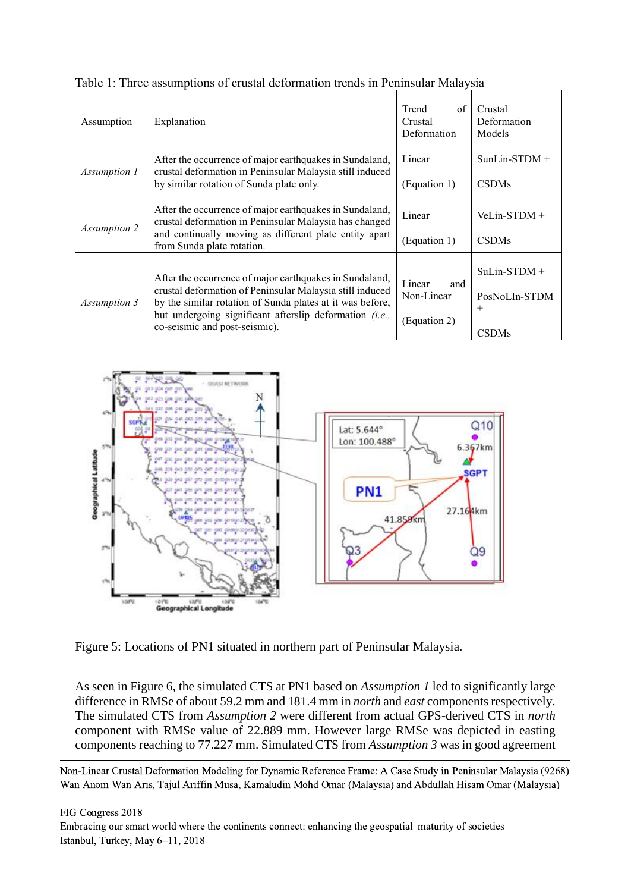| Assumption          | Explanation                                                                                                                                                                                                                                                                         | Trend<br>of<br>Crustal<br>Deformation       | Crustal<br>Deformation<br>Models                          |
|---------------------|-------------------------------------------------------------------------------------------------------------------------------------------------------------------------------------------------------------------------------------------------------------------------------------|---------------------------------------------|-----------------------------------------------------------|
| <i>Assumption 1</i> | After the occurrence of major earthquakes in Sundaland,<br>crustal deformation in Peninsular Malaysia still induced<br>by similar rotation of Sunda plate only.                                                                                                                     | Linear<br>(Equation 1)                      | $SunLin-STDM +$<br><b>CSDMs</b>                           |
| Assumption 2        | After the occurrence of major earthquakes in Sundaland,<br>crustal deformation in Peninsular Malaysia has changed<br>and continually moving as different plate entity apart<br>from Sunda plate rotation.                                                                           | Linear<br>(Equation 1)                      | $Velin-STDM +$<br><b>CSDMs</b>                            |
| Assumption 3        | After the occurrence of major earthquakes in Sundaland,<br>crustal deformation of Peninsular Malaysia still induced<br>by the similar rotation of Sunda plates at it was before,<br>but undergoing significant afterslip deformation <i>(i.e.,</i><br>co-seismic and post-seismic). | Linear<br>and<br>Non-Linear<br>(Equation 2) | $Sulin-STDM +$<br>PosNoLIn-STDM<br>$^{+}$<br><b>CSDMs</b> |

![](_page_8_Figure_1.jpeg)

![](_page_8_Figure_2.jpeg)

Figure 5: Locations of PN1 situated in northern part of Peninsular Malaysia.

As seen in Figure 6, the simulated CTS at PN1 based on *Assumption 1* led to significantly large difference in RMSe of about 59.2 mm and 181.4 mm in *north* and *east* components respectively. The simulated CTS from *Assumption 2* were different from actual GPS-derived CTS in *north* component with RMSe value of 22.889 mm. However large RMSe was depicted in easting components reaching to 77.227 mm. Simulated CTS from *Assumption 3* was in good agreement

Non-Linear Crustal Deformation Modeling for Dynamic Reference Frame: A Case Study in Peninsular Malaysia (9268) Wan Anom Wan Aris, Tajul Ariffin Musa, Kamaludin Mohd Omar (Malaysia) and Abdullah Hisam Omar (Malaysia)

FIG Congress 2018 Embracing our smart world where the continents connect: enhancing the geospatial maturity of societies Istanbul, Turkey, May 6–11, 2018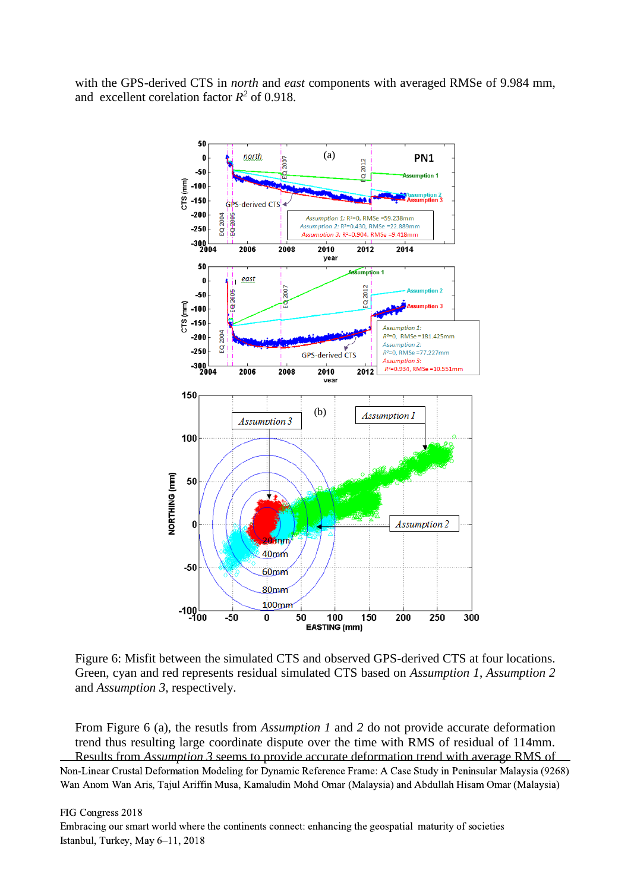with the GPS-derived CTS in *north* and *east* components with averaged RMSe of 9.984 mm, and excellent corelation factor  $R^2$  of 0.918.

![](_page_9_Figure_1.jpeg)

Figure 6: Misfit between the simulated CTS and observed GPS-derived CTS at four locations. Green, cyan and red represents residual simulated CTS based on *Assumption 1*, *Assumption 2* and *Assumption 3*, respectively.

From Figure 6 (a), the resutls from *Assumption 1* and *2* do not provide accurate deformation trend thus resulting large coordinate dispute over the time with RMS of residual of 114mm. Results from *Assumption 3* seems to provide accurate deformation trend with average RMS of Non-Linear Crustal Deformation Modeling for Dynamic Reference Frame: A Case Study in Peninsular Malaysia (9268) Wan Anom Wan Aris, Tajul Ariffin Musa, Kamaludin Mohd Omar (Malaysia) and Abdullah Hisam Omar (Malaysia)

FIG Congress 2018

Embracing our smart world where the continents connect: enhancing the geospatial maturity of societies Istanbul, Turkey, May 6–11, 2018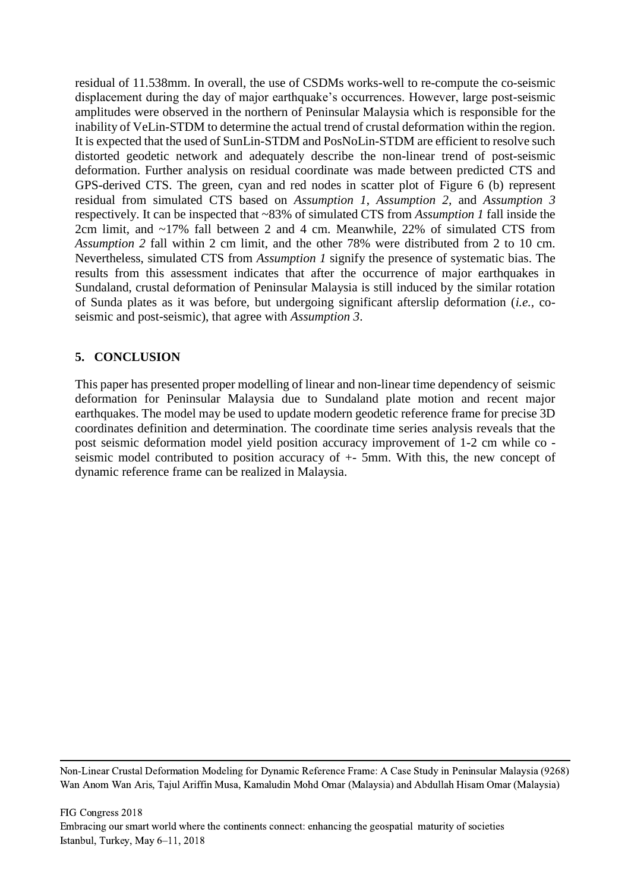residual of 11.538mm. In overall, the use of CSDMs works-well to re-compute the co-seismic displacement during the day of major earthquake's occurrences. However, large post-seismic amplitudes were observed in the northern of Peninsular Malaysia which is responsible for the inability of VeLin-STDM to determine the actual trend of crustal deformation within the region. It is expected that the used of SunLin-STDM and PosNoLin-STDM are efficient to resolve such distorted geodetic network and adequately describe the non-linear trend of post-seismic deformation. Further analysis on residual coordinate was made between predicted CTS and GPS-derived CTS. The green, cyan and red nodes in scatter plot of Figure 6 (b) represent residual from simulated CTS based on *Assumption 1*, *Assumption 2,* and *Assumption 3* respectively. It can be inspected that ~83% of simulated CTS from *Assumption 1* fall inside the 2cm limit, and ~17% fall between 2 and 4 cm. Meanwhile, 22% of simulated CTS from *Assumption 2* fall within 2 cm limit, and the other 78% were distributed from 2 to 10 cm. Nevertheless, simulated CTS from *Assumption 1* signify the presence of systematic bias. The results from this assessment indicates that after the occurrence of major earthquakes in Sundaland, crustal deformation of Peninsular Malaysia is still induced by the similar rotation of Sunda plates as it was before, but undergoing significant afterslip deformation (*i.e.,* coseismic and post-seismic), that agree with *Assumption 3*.

## **5. CONCLUSION**

This paper has presented proper modelling of linear and non-linear time dependency of seismic deformation for Peninsular Malaysia due to Sundaland plate motion and recent major earthquakes. The model may be used to update modern geodetic reference frame for precise 3D coordinates definition and determination. The coordinate time series analysis reveals that the post seismic deformation model yield position accuracy improvement of 1-2 cm while co seismic model contributed to position accuracy of +- 5mm. With this, the new concept of dynamic reference frame can be realized in Malaysia.

Non-Linear Crustal Deformation Modeling for Dynamic Reference Frame: A Case Study in Peninsular Malaysia (9268) Wan Anom Wan Aris, Tajul Ariffin Musa, Kamaludin Mohd Omar (Malaysia) and Abdullah Hisam Omar (Malaysia)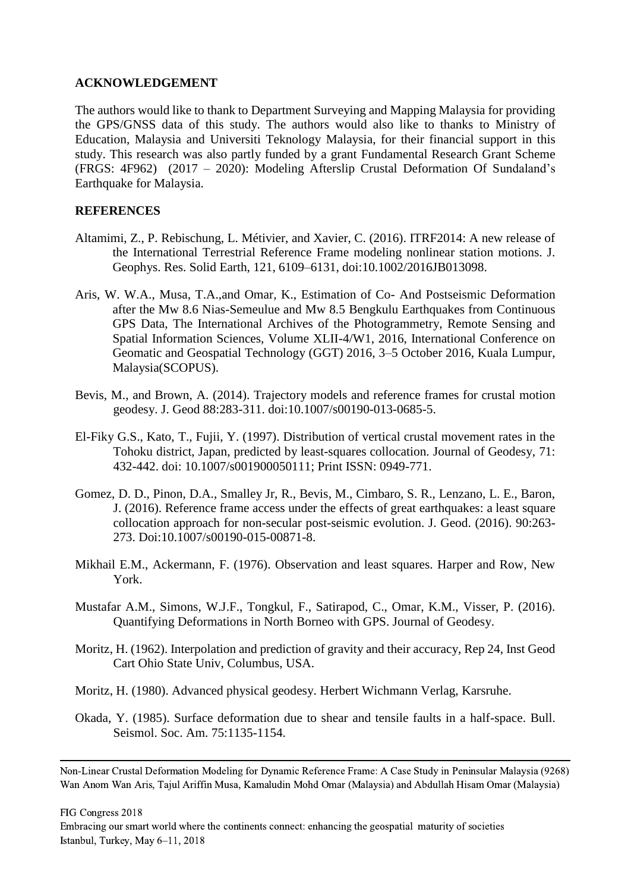## **ACKNOWLEDGEMENT**

The authors would like to thank to Department Surveying and Mapping Malaysia for providing the GPS/GNSS data of this study. The authors would also like to thanks to Ministry of Education, Malaysia and Universiti Teknology Malaysia, for their financial support in this study. This research was also partly funded by a grant Fundamental Research Grant Scheme (FRGS: 4F962) (2017 – 2020): Modeling Afterslip Crustal Deformation Of Sundaland's Earthquake for Malaysia.

## **REFERENCES**

- Altamimi, Z., P. Rebischung, L. Métivier, and Xavier, C. (2016). ITRF2014: A new release of the International Terrestrial Reference Frame modeling nonlinear station motions. J. Geophys. Res. Solid Earth, 121, 6109–6131, doi:10.1002/2016JB013098.
- Aris, W. W.A., Musa, T.A.,and Omar, K., Estimation of Co- And Postseismic Deformation after the Mw 8.6 Nias-Semeulue and Mw 8.5 Bengkulu Earthquakes from Continuous GPS Data, The International Archives of the Photogrammetry, Remote Sensing and Spatial Information Sciences, Volume XLII-4/W1, 2016, International Conference on Geomatic and Geospatial Technology (GGT) 2016, 3–5 October 2016, Kuala Lumpur, Malaysia(SCOPUS).
- Bevis, M., and Brown, A. (2014). Trajectory models and reference frames for crustal motion geodesy. J. Geod 88:283-311. doi:10.1007/s00190-013-0685-5.
- El-Fiky G.S., Kato, T., Fujii, Y. (1997). Distribution of vertical crustal movement rates in the Tohoku district, Japan, predicted by least-squares collocation. Journal of Geodesy, 71: 432-442. doi: 10.1007/s001900050111; Print ISSN: 0949-771.
- Gomez, D. D., Pinon, D.A., Smalley Jr, R., Bevis, M., Cimbaro, S. R., Lenzano, L. E., Baron, J. (2016). Reference frame access under the effects of great earthquakes: a least square collocation approach for non-secular post-seismic evolution. J. Geod. (2016). 90:263- 273. Doi:10.1007/s00190-015-00871-8.
- Mikhail E.M., Ackermann, F. (1976). Observation and least squares. Harper and Row, New York.
- Mustafar A.M., Simons, W.J.F., Tongkul, F., Satirapod, C., Omar, K.M., Visser, P. (2016). Quantifying Deformations in North Borneo with GPS. Journal of Geodesy.
- Moritz, H. (1962). Interpolation and prediction of gravity and their accuracy, Rep 24, Inst Geod Cart Ohio State Univ, Columbus, USA.

Moritz, H. (1980). Advanced physical geodesy. Herbert Wichmann Verlag, Karsruhe.

Okada, Y. (1985). Surface deformation due to shear and tensile faults in a half-space. Bull. Seismol. Soc. Am. 75:1135-1154.

FIG Congress 2018

Non-Linear Crustal Deformation Modeling for Dynamic Reference Frame: A Case Study in Peninsular Malaysia (9268) Wan Anom Wan Aris, Tajul Ariffin Musa, Kamaludin Mohd Omar (Malaysia) and Abdullah Hisam Omar (Malaysia)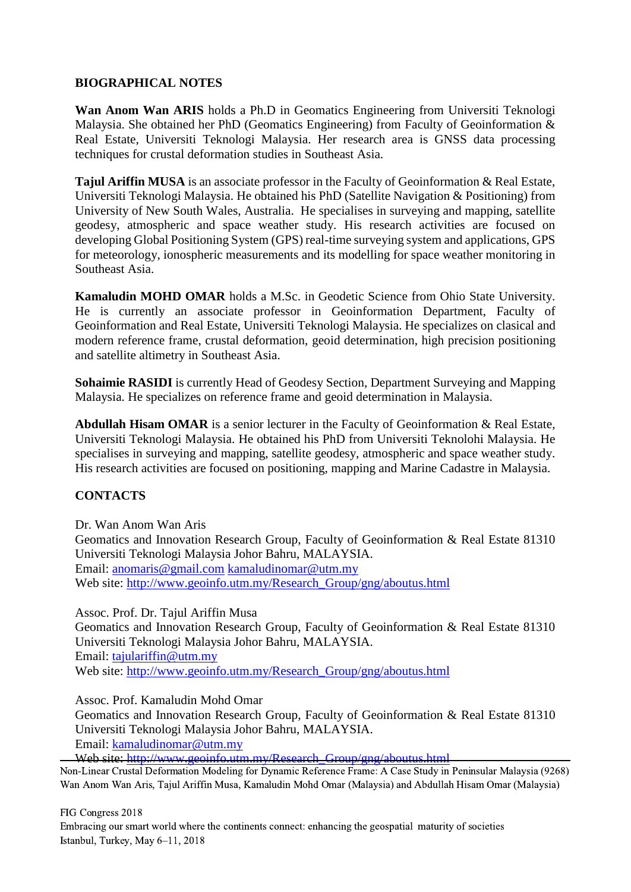## **BIOGRAPHICAL NOTES**

**Wan Anom Wan ARIS** holds a Ph.D in Geomatics Engineering from Universiti Teknologi Malaysia. She obtained her PhD (Geomatics Engineering) from Faculty of Geoinformation & Real Estate, Universiti Teknologi Malaysia. Her research area is GNSS data processing techniques for crustal deformation studies in Southeast Asia.

**Tajul Ariffin MUSA** is an associate professor in the Faculty of Geoinformation & Real Estate, Universiti Teknologi Malaysia. He obtained his PhD (Satellite Navigation & Positioning) from University of New South Wales, Australia. He specialises in surveying and mapping, satellite geodesy, atmospheric and space weather study. His research activities are focused on developing Global Positioning System (GPS) real-time surveying system and applications, GPS for meteorology, ionospheric measurements and its modelling for space weather monitoring in Southeast Asia.

**Kamaludin MOHD OMAR** holds a M.Sc. in Geodetic Science from Ohio State University. He is currently an associate professor in Geoinformation Department, Faculty of Geoinformation and Real Estate, Universiti Teknologi Malaysia. He specializes on clasical and modern reference frame, crustal deformation, geoid determination, high precision positioning and satellite altimetry in Southeast Asia.

**Sohaimie RASIDI** is currently Head of Geodesy Section, Department Surveying and Mapping Malaysia. He specializes on reference frame and geoid determination in Malaysia.

**Abdullah Hisam OMAR** is a senior lecturer in the Faculty of Geoinformation & Real Estate, Universiti Teknologi Malaysia. He obtained his PhD from Universiti Teknolohi Malaysia. He specialises in surveying and mapping, satellite geodesy, atmospheric and space weather study. His research activities are focused on positioning, mapping and Marine Cadastre in Malaysia.

## **CONTACTS**

Dr. Wan Anom Wan Aris Geomatics and Innovation Research Group, Faculty of Geoinformation & Real Estate 81310 Universiti Teknologi Malaysia Johor Bahru, MALAYSIA. Email: [anomaris@gmail.com](mailto:anomaris@gmail.com) [kamaludinomar@utm.my](mailto:kamaludinomar@utm.my) Web site: [http://www.geoinfo.utm.my/Research\\_Group/gng/aboutus.html](http://www.geoinfo.utm.my/Research_Group/gng/aboutus.html)

Assoc. Prof. Dr. Tajul Ariffin Musa Geomatics and Innovation Research Group, Faculty of Geoinformation & Real Estate 81310 Universiti Teknologi Malaysia Johor Bahru, MALAYSIA. Email: [tajulariffin@utm.my](mailto:tajulariffin@utm.my) Web site: [http://www.geoinfo.utm.my/Research\\_Group/gng/aboutus.html](http://www.geoinfo.utm.my/Research_Group/gng/aboutus.html)

Assoc. Prof. Kamaludin Mohd Omar

Geomatics and Innovation Research Group, Faculty of Geoinformation & Real Estate 81310 Universiti Teknologi Malaysia Johor Bahru, MALAYSIA. Email: [kamaludinomar@utm.my](mailto:kamaludinomar@utm.my)

Web site: [http://www.geoinfo.utm.my/Research\\_Group/gng/aboutus.html](http://www.geoinfo.utm.my/Research_Group/gng/aboutus.html)

Non-Linear Crustal Deformation Modeling for Dynamic Reference Frame: A Case Study in Peninsular Malaysia (9268) Wan Anom Wan Aris, Tajul Ariffin Musa, Kamaludin Mohd Omar (Malaysia) and Abdullah Hisam Omar (Malaysia)

FIG Congress 2018 Embracing our smart world where the continents connect: enhancing the geospatial maturity of societies Istanbul, Turkey, May 6–11, 2018